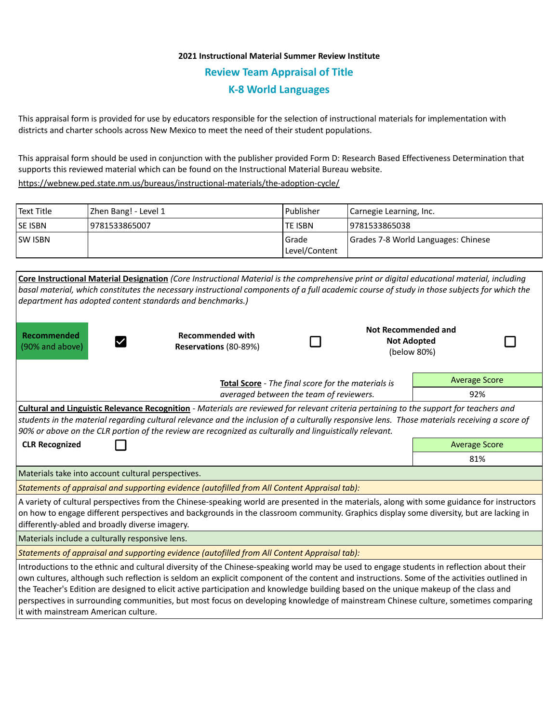## **2021 Instructional Material Summer Review Institute Review Team Appraisal of Title K-8 World Languages**

This appraisal form is provided for use by educators responsible for the selection of instructional materials for implementation with districts and charter schools across New Mexico to meet the need of their student populations.

This appraisal form should be used in conjunction with the publisher provided Form D: Research Based Effectiveness Determination that supports this reviewed material which can be found on the Instructional Material Bureau website.

<https://webnew.ped.state.nm.us/bureaus/instructional-materials/the-adoption-cycle/>

| Text Title     | Zhen Bang! - Level 1 | l Publisher              | Carnegie Learning, Inc.             |  |
|----------------|----------------------|--------------------------|-------------------------------------|--|
| <b>SE ISBN</b> | 9781533865007        | lte ISBN                 | 19781533865038                      |  |
| <b>SW ISBN</b> |                      | l Grade<br>Level/Content | Grades 7-8 World Languages: Chinese |  |

| Core Instructional Material Designation (Core Instructional Material is the comprehensive print or digital educational material, including    |                                                                                                         |                      |             |                      |  |  |  |  |
|-----------------------------------------------------------------------------------------------------------------------------------------------|---------------------------------------------------------------------------------------------------------|----------------------|-------------|----------------------|--|--|--|--|
| basal material, which constitutes the necessary instructional components of a full academic course of study in those subjects for which the   |                                                                                                         |                      |             |                      |  |  |  |  |
| department has adopted content standards and benchmarks.)                                                                                     |                                                                                                         |                      |             |                      |  |  |  |  |
|                                                                                                                                               |                                                                                                         |                      |             |                      |  |  |  |  |
|                                                                                                                                               |                                                                                                         | Not Recommended and  |             |                      |  |  |  |  |
| Recommended<br>(90% and above)                                                                                                                | <b>Recommended with</b><br>Reservations (80-89%)                                                        |                      |             | <b>Not Adopted</b>   |  |  |  |  |
|                                                                                                                                               |                                                                                                         |                      | (below 80%) |                      |  |  |  |  |
|                                                                                                                                               |                                                                                                         |                      |             |                      |  |  |  |  |
| Total Score - The final score for the materials is<br>averaged between the team of reviewers.                                                 |                                                                                                         |                      |             | <b>Average Score</b> |  |  |  |  |
|                                                                                                                                               |                                                                                                         |                      |             | 92%                  |  |  |  |  |
| Cultural and Linguistic Relevance Recognition - Materials are reviewed for relevant criteria pertaining to the support for teachers and       |                                                                                                         |                      |             |                      |  |  |  |  |
| students in the material regarding cultural relevance and the inclusion of a culturally responsive lens. Those materials receiving a score of |                                                                                                         |                      |             |                      |  |  |  |  |
|                                                                                                                                               | 90% or above on the CLR portion of the review are recognized as culturally and linguistically relevant. |                      |             |                      |  |  |  |  |
| <b>CLR Recognized</b>                                                                                                                         |                                                                                                         | <b>Average Score</b> |             |                      |  |  |  |  |
|                                                                                                                                               |                                                                                                         | 81%                  |             |                      |  |  |  |  |
| Materials take into account cultural perspectives.                                                                                            |                                                                                                         |                      |             |                      |  |  |  |  |
| Statements of appraisal and supporting evidence (autofilled from All Content Appraisal tab):                                                  |                                                                                                         |                      |             |                      |  |  |  |  |
| A variety of cultural perspectives from the Chinese-speaking world are presented in the materials, along with some guidance for instructors   |                                                                                                         |                      |             |                      |  |  |  |  |
| on how to engage different perspectives and backgrounds in the classroom community. Graphics display some diversity, but are lacking in       |                                                                                                         |                      |             |                      |  |  |  |  |
| differently-abled and broadly diverse imagery.                                                                                                |                                                                                                         |                      |             |                      |  |  |  |  |
| Materials include a culturally responsive lens.                                                                                               |                                                                                                         |                      |             |                      |  |  |  |  |
| Statements of appraisal and supporting evidence (autofilled from All Content Appraisal tab):                                                  |                                                                                                         |                      |             |                      |  |  |  |  |
| Introductions to the ethnic and cultural diversity of the Chinese-speaking world may be used to engage students in reflection about their     |                                                                                                         |                      |             |                      |  |  |  |  |
| own cultures, although such reflection is seldom an explicit component of the content and instructions. Some of the activities outlined in    |                                                                                                         |                      |             |                      |  |  |  |  |
| the Teacher's Edition are designed to elicit active participation and knowledge building based on the unique makeup of the class and          |                                                                                                         |                      |             |                      |  |  |  |  |
| perspectives in surrounding communities, but most focus on developing knowledge of mainstream Chinese culture, sometimes comparing            |                                                                                                         |                      |             |                      |  |  |  |  |
| it with mainstream American culture.                                                                                                          |                                                                                                         |                      |             |                      |  |  |  |  |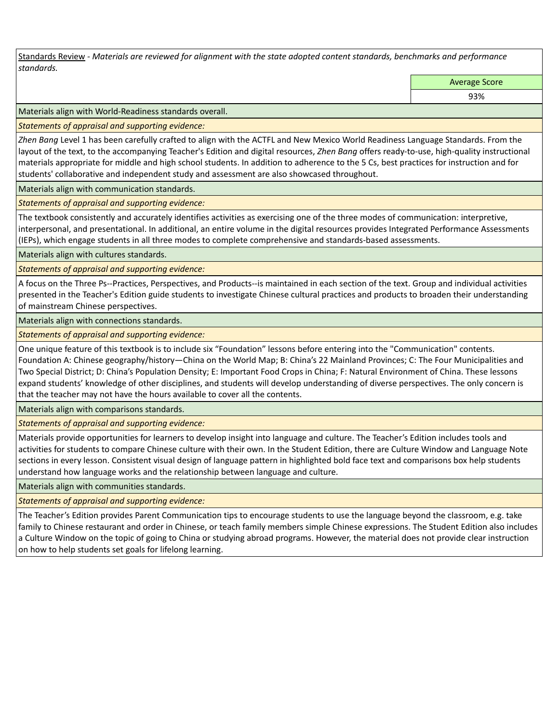Standards Review *- Materials are reviewed for alignment with the state adopted content standards, benchmarks and performance standards.*

Average Score

93%

Materials align with World-Readiness standards overall.

*Statements of appraisal and supporting evidence:* 

*Zhen Bang* Level 1 has been carefully crafted to align with the ACTFL and New Mexico World Readiness Language Standards. From the layout of the text, to the accompanying Teacher's Edition and digital resources, *Zhen Bang* offers ready-to-use, high-quality instructional materials appropriate for middle and high school students. In addition to adherence to the 5 Cs, best practices for instruction and for students' collaborative and independent study and assessment are also showcased throughout.

Materials align with communication standards.

*Statements of appraisal and supporting evidence:* 

The textbook consistently and accurately identifies activities as exercising one of the three modes of communication: interpretive, interpersonal, and presentational. In additional, an entire volume in the digital resources provides Integrated Performance Assessments (IEPs), which engage students in all three modes to complete comprehensive and standards-based assessments.

Materials align with cultures standards.

*Statements of appraisal and supporting evidence:* 

A focus on the Three Ps--Practices, Perspectives, and Products--is maintained in each section of the text. Group and individual activities presented in the Teacher's Edition guide students to investigate Chinese cultural practices and products to broaden their understanding of mainstream Chinese perspectives.

Materials align with connections standards.

*Statements of appraisal and supporting evidence:* 

One unique feature of this textbook is to include six "Foundation" lessons before entering into the "Communication" contents. Foundation A: Chinese geography/history—China on the World Map; B: China's 22 Mainland Provinces; C: The Four Municipalities and Two Special District; D: China's Population Density; E: Important Food Crops in China; F: Natural Environment of China. These lessons expand students' knowledge of other disciplines, and students will develop understanding of diverse perspectives. The only concern is that the teacher may not have the hours available to cover all the contents.

Materials align with comparisons standards.

*Statements of appraisal and supporting evidence:* 

Materials provide opportunities for learners to develop insight into language and culture. The Teacher's Edition includes tools and activities for students to compare Chinese culture with their own. In the Student Edition, there are Culture Window and Language Note sections in every lesson. Consistent visual design of language pattern in highlighted bold face text and comparisons box help students understand how language works and the relationship between language and culture.

Materials align with communities standards.

*Statements of appraisal and supporting evidence:* 

The Teacher's Edition provides Parent Communication tips to encourage students to use the language beyond the classroom, e.g. take family to Chinese restaurant and order in Chinese, or teach family members simple Chinese expressions. The Student Edition also includes a Culture Window on the topic of going to China or studying abroad programs. However, the material does not provide clear instruction on how to help students set goals for lifelong learning.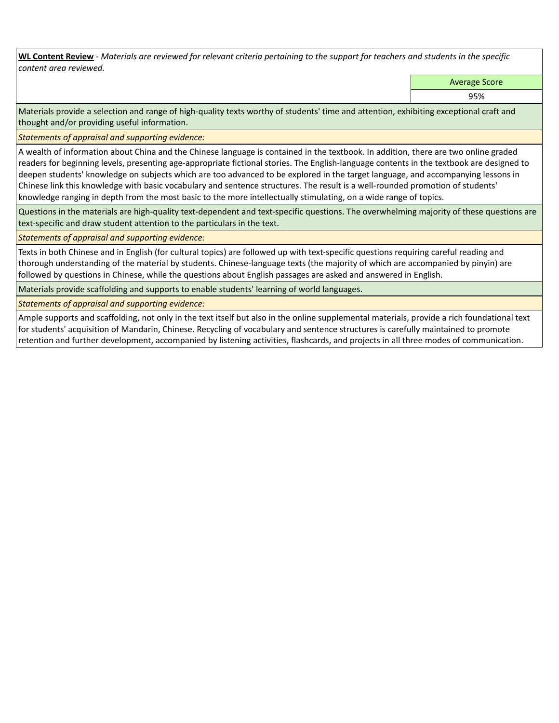**WL Content Review** *- Materials are reviewed for relevant criteria pertaining to the support for teachers and students in the specific content area reviewed.*

Average Score

95%

Materials provide a selection and range of high-quality texts worthy of students' time and attention, exhibiting exceptional craft and thought and/or providing useful information.

*Statements of appraisal and supporting evidence:* 

A wealth of information about China and the Chinese language is contained in the textbook. In addition, there are two online graded readers for beginning levels, presenting age-appropriate fictional stories. The English-language contents in the textbook are designed to deepen students' knowledge on subjects which are too advanced to be explored in the target language, and accompanying lessons in Chinese link this knowledge with basic vocabulary and sentence structures. The result is a well-rounded promotion of students' knowledge ranging in depth from the most basic to the more intellectually stimulating, on a wide range of topics.

Questions in the materials are high-quality text-dependent and text-specific questions. The overwhelming majority of these questions are text-specific and draw student attention to the particulars in the text.

## *Statements of appraisal and supporting evidence:*

Texts in both Chinese and in English (for cultural topics) are followed up with text-specific questions requiring careful reading and thorough understanding of the material by students. Chinese-language texts (the majority of which are accompanied by pinyin) are followed by questions in Chinese, while the questions about English passages are asked and answered in English.

Materials provide scaffolding and supports to enable students' learning of world languages.

*Statements of appraisal and supporting evidence:* 

Ample supports and scaffolding, not only in the text itself but also in the online supplemental materials, provide a rich foundational text for students' acquisition of Mandarin, Chinese. Recycling of vocabulary and sentence structures is carefully maintained to promote retention and further development, accompanied by listening activities, flashcards, and projects in all three modes of communication.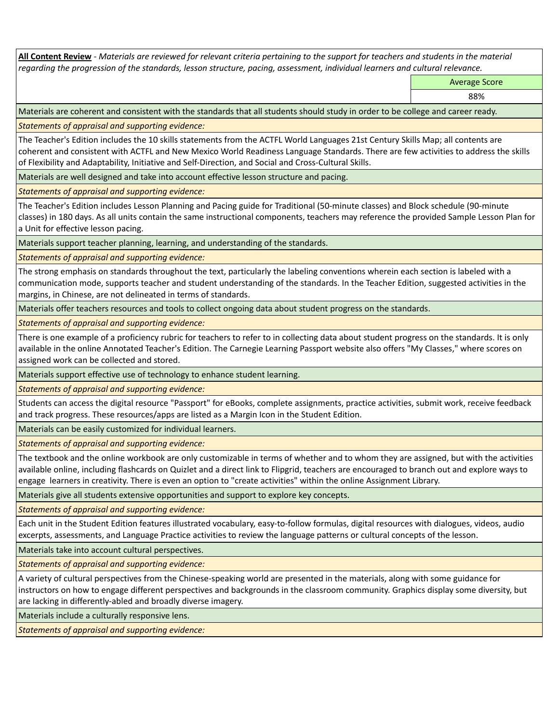**All Content Review** *- Materials are reviewed for relevant criteria pertaining to the support for teachers and students in the material regarding the progression of the standards, lesson structure, pacing, assessment, individual learners and cultural relevance.*

Average Score

88%

Materials are coherent and consistent with the standards that all students should study in order to be college and career ready.

*Statements of appraisal and supporting evidence:*

The Teacher's Edition includes the 10 skills statements from the ACTFL World Languages 21st Century Skills Map; all contents are coherent and consistent with ACTFL and New Mexico World Readiness Language Standards. There are few activities to address the skills of Flexibility and Adaptability, Initiative and Self-Direction, and Social and Cross-Cultural Skills.

Materials are well designed and take into account effective lesson structure and pacing.

*Statements of appraisal and supporting evidence:*

The Teacher's Edition includes Lesson Planning and Pacing guide for Traditional (50-minute classes) and Block schedule (90-minute classes) in 180 days. As all units contain the same instructional components, teachers may reference the provided Sample Lesson Plan for a Unit for effective lesson pacing.

Materials support teacher planning, learning, and understanding of the standards.

*Statements of appraisal and supporting evidence:*

The strong emphasis on standards throughout the text, particularly the labeling conventions wherein each section is labeled with a communication mode, supports teacher and student understanding of the standards. In the Teacher Edition, suggested activities in the margins, in Chinese, are not delineated in terms of standards.

Materials offer teachers resources and tools to collect ongoing data about student progress on the standards.

*Statements of appraisal and supporting evidence:*

There is one example of a proficiency rubric for teachers to refer to in collecting data about student progress on the standards. It is only available in the online Annotated Teacher's Edition. The Carnegie Learning Passport website also offers "My Classes," where scores on assigned work can be collected and stored.

Materials support effective use of technology to enhance student learning.

*Statements of appraisal and supporting evidence:*

Students can access the digital resource "Passport" for eBooks, complete assignments, practice activities, submit work, receive feedback and track progress. These resources/apps are listed as a Margin Icon in the Student Edition.

Materials can be easily customized for individual learners.

*Statements of appraisal and supporting evidence:* 

The textbook and the online workbook are only customizable in terms of whether and to whom they are assigned, but with the activities available online, including flashcards on Quizlet and a direct link to Flipgrid, teachers are encouraged to branch out and explore ways to engage learners in creativity. There is even an option to "create activities" within the online Assignment Library.

Materials give all students extensive opportunities and support to explore key concepts.

*Statements of appraisal and supporting evidence:*

Each unit in the Student Edition features illustrated vocabulary, easy-to-follow formulas, digital resources with dialogues, videos, audio excerpts, assessments, and Language Practice activities to review the language patterns or cultural concepts of the lesson.

Materials take into account cultural perspectives.

*Statements of appraisal and supporting evidence:*

A variety of cultural perspectives from the Chinese-speaking world are presented in the materials, along with some guidance for instructors on how to engage different perspectives and backgrounds in the classroom community. Graphics display some diversity, but are lacking in differently-abled and broadly diverse imagery.

Materials include a culturally responsive lens.

*Statements of appraisal and supporting evidence:*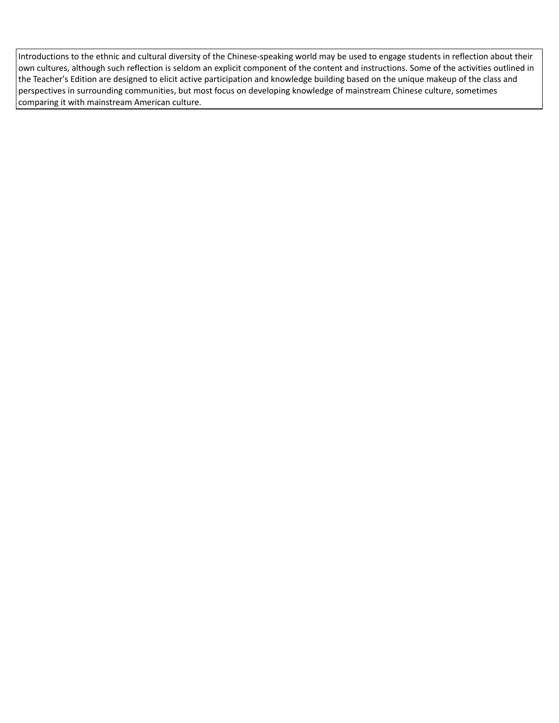Introductions to the ethnic and cultural diversity of the Chinese-speaking world may be used to engage students in reflection about their own cultures, although such reflection is seldom an explicit component of the content and instructions. Some of the activities outlined in the Teacher's Edition are designed to elicit active participation and knowledge building based on the unique makeup of the class and perspectives in surrounding communities, but most focus on developing knowledge of mainstream Chinese culture, sometimes comparing it with mainstream American culture.